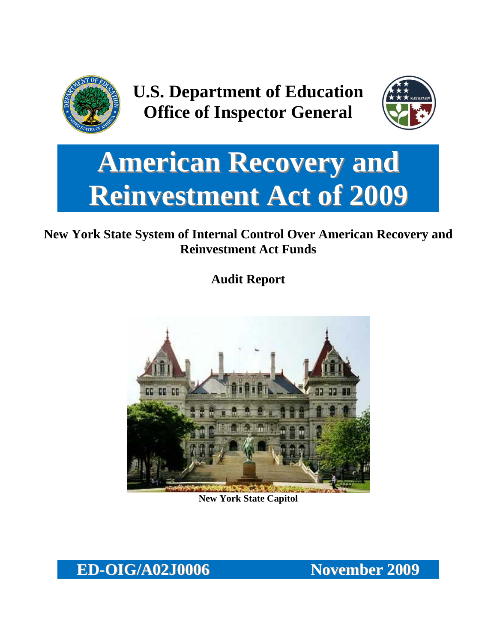

**U.S. Department of Education Office of Inspector General**



# **American Recovery and Reinvestment Act of 2009**

## **New York State System of Internal Control Over American Recovery and Reinvestment Act Funds**

**Audit Report**



**New York State Capitol**

**ED-OIG/A02J0006 November 2009**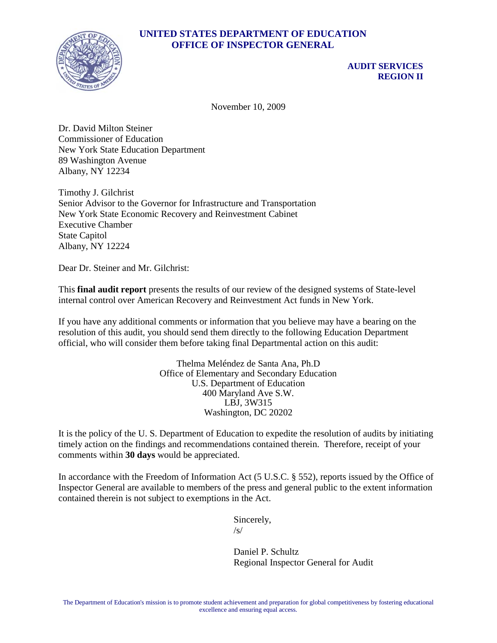## **UNITED STATES DEPARTMENT OF EDUCATION OFFICE OF INSPECTOR GENERAL**



## **AUDIT SERVICES REGION II**

November 10, 2009

Dr. David Milton Steiner Commissioner of Education New York State Education Department 89 Washington Avenue Albany, NY 12234

Timothy J. Gilchrist Senior Advisor to the Governor for Infrastructure and Transportation New York State Economic Recovery and Reinvestment Cabinet Executive Chamber State Capitol Albany, NY 12224

Dear Dr. Steiner and Mr. Gilchrist:

This **final audit report** presents the results of our review of the designed systems of State-level internal control over American Recovery and Reinvestment Act funds in New York.

If you have any additional comments or information that you believe may have a bearing on the resolution of this audit, you should send them directly to the following Education Department official, who will consider them before taking final Departmental action on this audit:

> Thelma Meléndez de Santa Ana, Ph.D Office of Elementary and Secondary Education U.S. Department of Education 400 Maryland Ave S.W. LBJ, 3W315 Washington, DC 20202

It is the policy of the U. S. Department of Education to expedite the resolution of audits by initiating timely action on the findings and recommendations contained therein. Therefore, receipt of your comments within **30 days** would be appreciated.

In accordance with the Freedom of Information Act (5 U.S.C. § 552), reports issued by the Office of Inspector General are available to members of the press and general public to the extent information contained therein is not subject to exemptions in the Act.

> Sincerely,  $/s/$

 Daniel P. Schultz Regional Inspector General for Audit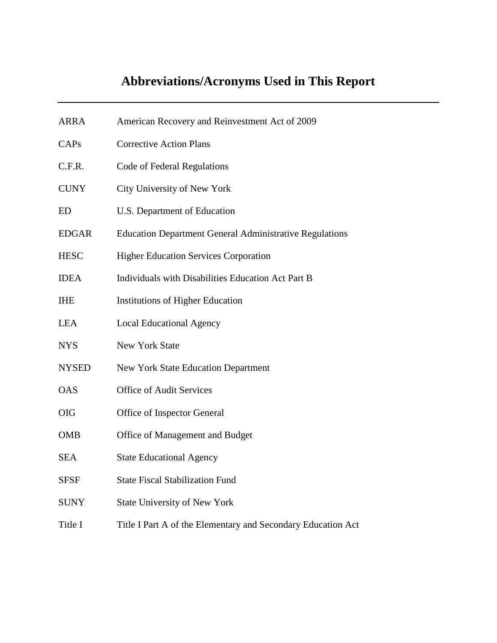| <b>ARRA</b>  | American Recovery and Reinvestment Act of 2009                 |
|--------------|----------------------------------------------------------------|
| CAPs         | <b>Corrective Action Plans</b>                                 |
| C.F.R.       | Code of Federal Regulations                                    |
| <b>CUNY</b>  | City University of New York                                    |
| ED           | U.S. Department of Education                                   |
| <b>EDGAR</b> | <b>Education Department General Administrative Regulations</b> |
| <b>HESC</b>  | <b>Higher Education Services Corporation</b>                   |
| <b>IDEA</b>  | Individuals with Disabilities Education Act Part B             |
| <b>IHE</b>   | <b>Institutions of Higher Education</b>                        |
| <b>LEA</b>   | <b>Local Educational Agency</b>                                |
| <b>NYS</b>   | New York State                                                 |
| <b>NYSED</b> | <b>New York State Education Department</b>                     |
| <b>OAS</b>   | <b>Office of Audit Services</b>                                |
| <b>OIG</b>   | Office of Inspector General                                    |
| <b>OMB</b>   | Office of Management and Budget                                |
| <b>SEA</b>   | <b>State Educational Agency</b>                                |
| <b>SFSF</b>  | <b>State Fiscal Stabilization Fund</b>                         |
| <b>SUNY</b>  | <b>State University of New York</b>                            |
| Title I      | Title I Part A of the Elementary and Secondary Education Act   |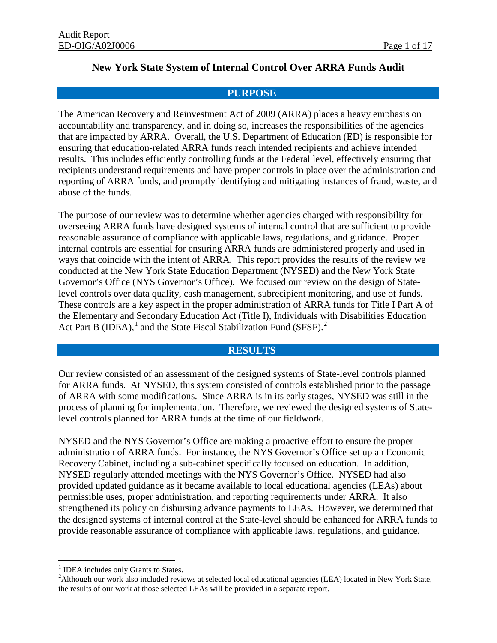## **New York State System of Internal Control Over ARRA Funds Audit**

## **PURPOSE**

The American Recovery and Reinvestment Act of 2009 (ARRA) places a heavy emphasis on accountability and transparency, and in doing so, increases the responsibilities of the agencies that are impacted by ARRA. Overall, the U.S. Department of Education (ED) is responsible for ensuring that education-related ARRA funds reach intended recipients and achieve intended results. This includes efficiently controlling funds at the Federal level, effectively ensuring that recipients understand requirements and have proper controls in place over the administration and reporting of ARRA funds, and promptly identifying and mitigating instances of fraud, waste, and abuse of the funds.

The purpose of our review was to determine whether agencies charged with responsibility for overseeing ARRA funds have designed systems of internal control that are sufficient to provide reasonable assurance of compliance with applicable laws, regulations, and guidance. Proper internal controls are essential for ensuring ARRA funds are administered properly and used in ways that coincide with the intent of ARRA. This report provides the results of the review we conducted at the New York State Education Department (NYSED) and the New York State Governor's Office (NYS Governor's Office). We focused our review on the design of Statelevel controls over data quality, cash management, subrecipient monitoring, and use of funds. These controls are a key aspect in the proper administration of ARRA funds for Title I Part A of the Elementary and Secondary Education Act (Title I), Individuals with Disabilities Education Act Part B (IDEA),<sup>[1](#page-3-0)</sup> and the State Fiscal Stabilization Fund (SFSF).<sup>[2](#page-3-1)</sup>

#### **RESULTS**

Our review consisted of an assessment of the designed systems of State-level controls planned for ARRA funds. At NYSED, this system consisted of controls established prior to the passage of ARRA with some modifications. Since ARRA is in its early stages, NYSED was still in the process of planning for implementation. Therefore, we reviewed the designed systems of Statelevel controls planned for ARRA funds at the time of our fieldwork.

NYSED and the NYS Governor's Office are making a proactive effort to ensure the proper administration of ARRA funds. For instance, the NYS Governor's Office set up an Economic Recovery Cabinet, including a sub-cabinet specifically focused on education. In addition, NYSED regularly attended meetings with the NYS Governor's Office. NYSED had also provided updated guidance as it became available to local educational agencies (LEAs) about permissible uses, proper administration, and reporting requirements under ARRA. It also strengthened its policy on disbursing advance payments to LEAs. However, we determined that the designed systems of internal control at the State-level should be enhanced for ARRA funds to provide reasonable assurance of compliance with applicable laws, regulations, and guidance.

<span id="page-3-0"></span> $<sup>1</sup>$  IDEA includes only Grants to States.</sup>

<span id="page-3-1"></span><sup>&</sup>lt;sup>2</sup>Although our work also included reviews at selected local educational agencies (LEA) located in New York State, the results of our work at those selected LEAs will be provided in a separate report.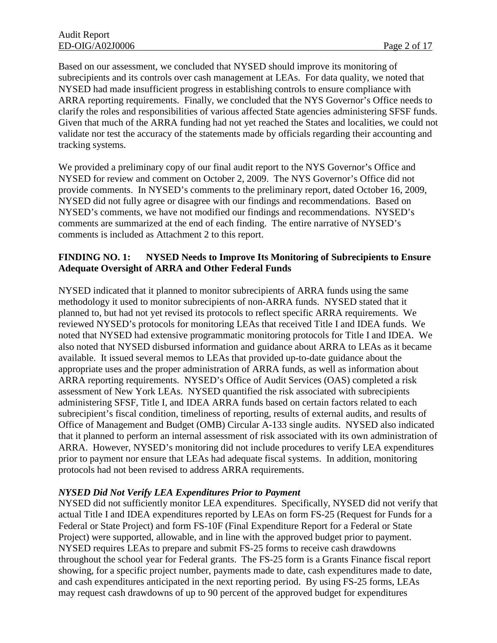Based on our assessment, we concluded that NYSED should improve its monitoring of subrecipients and its controls over cash management at LEAs. For data quality, we noted that NYSED had made insufficient progress in establishing controls to ensure compliance with ARRA reporting requirements. Finally, we concluded that the NYS Governor's Office needs to clarify the roles and responsibilities of various affected State agencies administering SFSF funds. Given that much of the ARRA funding had not yet reached the States and localities, we could not validate nor test the accuracy of the statements made by officials regarding their accounting and tracking systems.

We provided a preliminary copy of our final audit report to the NYS Governor's Office and NYSED for review and comment on October 2, 2009. The NYS Governor's Office did not provide comments. In NYSED's comments to the preliminary report, dated October 16, 2009, NYSED did not fully agree or disagree with our findings and recommendations. Based on NYSED's comments, we have not modified our findings and recommendations. NYSED's comments are summarized at the end of each finding. The entire narrative of NYSED's comments is included as Attachment 2 to this report.

## **FINDING NO. 1: NYSED Needs to Improve Its Monitoring of Subrecipients to Ensure Adequate Oversight of ARRA and Other Federal Funds**

NYSED indicated that it planned to monitor subrecipients of ARRA funds using the same methodology it used to monitor subrecipients of non-ARRA funds. NYSED stated that it planned to, but had not yet revised its protocols to reflect specific ARRA requirements. We reviewed NYSED's protocols for monitoring LEAs that received Title I and IDEA funds. We noted that NYSED had extensive programmatic monitoring protocols for Title I and IDEA. We also noted that NYSED disbursed information and guidance about ARRA to LEAs as it became available. It issued several memos to LEAs that provided up-to-date guidance about the appropriate uses and the proper administration of ARRA funds, as well as information about ARRA reporting requirements. NYSED's Office of Audit Services (OAS) completed a risk assessment of New York LEAs. NYSED quantified the risk associated with subrecipients administering SFSF, Title I, and IDEA ARRA funds based on certain factors related to each subrecipient's fiscal condition, timeliness of reporting, results of external audits, and results of Office of Management and Budget (OMB) Circular A-133 single audits. NYSED also indicated that it planned to perform an internal assessment of risk associated with its own administration of ARRA. However, NYSED's monitoring did not include procedures to verify LEA expenditures prior to payment nor ensure that LEAs had adequate fiscal systems. In addition, monitoring protocols had not been revised to address ARRA requirements.

## *NYSED Did Not Verify LEA Expenditures Prior to Payment*

NYSED did not sufficiently monitor LEA expenditures. Specifically, NYSED did not verify that actual Title I and IDEA expenditures reported by LEAs on form FS-25 (Request for Funds for a Federal or State Project) and form FS-10F (Final Expenditure Report for a Federal or State Project) were supported, allowable, and in line with the approved budget prior to payment. NYSED requires LEAs to prepare and submit FS-25 forms to receive cash drawdowns throughout the school year for Federal grants. The FS-25 form is a Grants Finance fiscal report showing, for a specific project number, payments made to date, cash expenditures made to date, and cash expenditures anticipated in the next reporting period. By using FS-25 forms, LEAs may request cash drawdowns of up to 90 percent of the approved budget for expenditures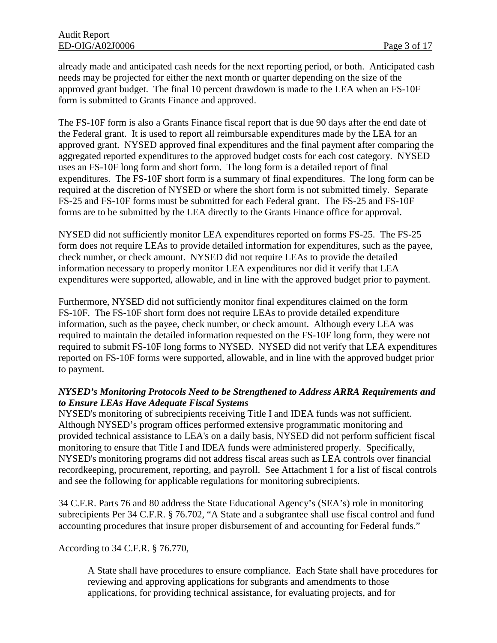already made and anticipated cash needs for the next reporting period, or both. Anticipated cash needs may be projected for either the next month or quarter depending on the size of the approved grant budget. The final 10 percent drawdown is made to the LEA when an FS-10F form is submitted to Grants Finance and approved.

The FS-10F form is also a Grants Finance fiscal report that is due 90 days after the end date of the Federal grant. It is used to report all reimbursable expenditures made by the LEA for an approved grant. NYSED approved final expenditures and the final payment after comparing the aggregated reported expenditures to the approved budget costs for each cost category. NYSED uses an FS-10F long form and short form. The long form is a detailed report of final expenditures. The FS-10F short form is a summary of final expenditures. The long form can be required at the discretion of NYSED or where the short form is not submitted timely. Separate FS-25 and FS-10F forms must be submitted for each Federal grant. The FS-25 and FS-10F forms are to be submitted by the LEA directly to the Grants Finance office for approval.

NYSED did not sufficiently monitor LEA expenditures reported on forms FS-25. The FS-25 form does not require LEAs to provide detailed information for expenditures, such as the payee, check number, or check amount. NYSED did not require LEAs to provide the detailed information necessary to properly monitor LEA expenditures nor did it verify that LEA expenditures were supported, allowable, and in line with the approved budget prior to payment.

Furthermore, NYSED did not sufficiently monitor final expenditures claimed on the form FS-10F. The FS-10F short form does not require LEAs to provide detailed expenditure information, such as the payee, check number, or check amount. Although every LEA was required to maintain the detailed information requested on the FS-10F long form, they were not required to submit FS-10F long forms to NYSED. NYSED did not verify that LEA expenditures reported on FS-10F forms were supported, allowable, and in line with the approved budget prior to payment.

## *NYSED's Monitoring Protocols Need to be Strengthened to Address ARRA Requirements and to Ensure LEAs Have Adequate Fiscal Systems*

NYSED's monitoring of subrecipients receiving Title I and IDEA funds was not sufficient. Although NYSED's program offices performed extensive programmatic monitoring and provided technical assistance to LEA's on a daily basis, NYSED did not perform sufficient fiscal monitoring to ensure that Title I and IDEA funds were administered properly. Specifically, NYSED's monitoring programs did not address fiscal areas such as LEA controls over financial recordkeeping, procurement, reporting, and payroll. See Attachment 1 for a list of fiscal controls and see the following for applicable regulations for monitoring subrecipients.

34 C.F.R. Parts 76 and 80 address the State Educational Agency's (SEA's) role in monitoring subrecipients Per 34 C.F.R. § 76.702, "A State and a subgrantee shall use fiscal control and fund accounting procedures that insure proper disbursement of and accounting for Federal funds."

#### According to 34 C.F.R. § 76.770,

A State shall have procedures to ensure compliance. Each State shall have procedures for reviewing and approving applications for subgrants and amendments to those applications, for providing technical assistance, for evaluating projects, and for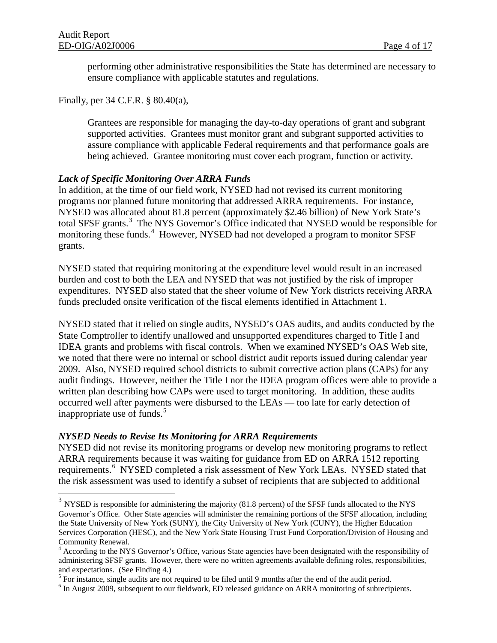$\overline{a}$ 

performing other administrative responsibilities the State has determined are necessary to ensure compliance with applicable statutes and regulations.

Finally, per 34 C.F.R. § 80.40(a),

Grantees are responsible for managing the day-to-day operations of grant and subgrant supported activities. Grantees must monitor grant and subgrant supported activities to assure compliance with applicable Federal requirements and that performance goals are being achieved. Grantee monitoring must cover each program, function or activity.

#### *Lack of Specific Monitoring Over ARRA Funds*

In addition, at the time of our field work, NYSED had not revised its current monitoring programs nor planned future monitoring that addressed ARRA requirements. For instance, NYSED was allocated about 81.8 percent (approximately \$2.46 billion) of New York State's total SFSF grants.<sup>[3](#page-6-0)</sup> The NYS Governor's Office indicated that NYSED would be responsible for monitoring these funds.<sup>[4](#page-6-1)</sup> However, NYSED had not developed a program to monitor SFSF grants.

NYSED stated that requiring monitoring at the expenditure level would result in an increased burden and cost to both the LEA and NYSED that was not justified by the risk of improper expenditures. NYSED also stated that the sheer volume of New York districts receiving ARRA funds precluded onsite verification of the fiscal elements identified in Attachment 1.

NYSED stated that it relied on single audits, NYSED's OAS audits, and audits conducted by the State Comptroller to identify unallowed and unsupported expenditures charged to Title I and IDEA grants and problems with fiscal controls. When we examined NYSED's OAS Web site, we noted that there were no internal or school district audit reports issued during calendar year 2009. Also, NYSED required school districts to submit corrective action plans (CAPs) for any audit findings. However, neither the Title I nor the IDEA program offices were able to provide a written plan describing how CAPs were used to target monitoring. In addition, these audits occurred well after payments were disbursed to the LEAs — too late for early detection of inappropriate use of funds. $5$ 

#### *NYSED Needs to Revise Its Monitoring for ARRA Requirements*

NYSED did not revise its monitoring programs or develop new monitoring programs to reflect ARRA requirements because it was waiting for guidance from ED on ARRA 1512 reporting requirements.<sup>[6](#page-6-3)</sup> NYSED completed a risk assessment of New York LEAs. NYSED stated that the risk assessment was used to identify a subset of recipients that are subjected to additional

<span id="page-6-0"></span> $3$  NYSED is responsible for administering the majority (81.8 percent) of the SFSF funds allocated to the NYS Governor's Office. Other State agencies will administer the remaining portions of the SFSF allocation, including the State University of New York (SUNY), the City University of New York (CUNY), the Higher Education Services Corporation (HESC), and the New York State Housing Trust Fund Corporation/Division of Housing and Community Renewal.

<span id="page-6-1"></span><sup>&</sup>lt;sup>4</sup> According to the NYS Governor's Office, various State agencies have been designated with the responsibility of administering SFSF grants. However, there were no written agreements available defining roles, responsibilities, and expectations. (See Finding 4.)<br><sup>5</sup> For instance, single audits are not required to be filed until 9 months after the end of the audit period.

<span id="page-6-2"></span>

<span id="page-6-3"></span><sup>&</sup>lt;sup>6</sup> In August 2009, subsequent to our fieldwork, ED released guidance on ARRA monitoring of subrecipients.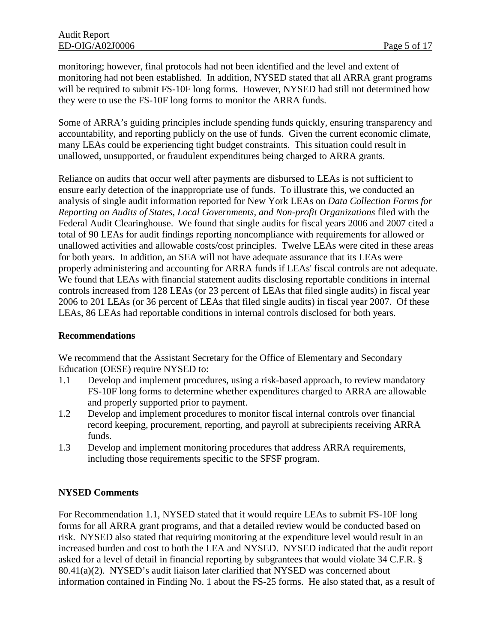monitoring; however, final protocols had not been identified and the level and extent of monitoring had not been established. In addition, NYSED stated that all ARRA grant programs will be required to submit FS-10F long forms. However, NYSED had still not determined how they were to use the FS-10F long forms to monitor the ARRA funds.

Some of ARRA's guiding principles include spending funds quickly, ensuring transparency and accountability, and reporting publicly on the use of funds. Given the current economic climate, many LEAs could be experiencing tight budget constraints. This situation could result in unallowed, unsupported, or fraudulent expenditures being charged to ARRA grants.

Reliance on audits that occur well after payments are disbursed to LEAs is not sufficient to ensure early detection of the inappropriate use of funds. To illustrate this, we conducted an analysis of single audit information reported for New York LEAs on *Data Collection Forms for Reporting on Audits of States, Local Governments, and Non-profit Organizations* filed with the Federal Audit Clearinghouse. We found that single audits for fiscal years 2006 and 2007 cited a total of 90 LEAs for audit findings reporting noncompliance with requirements for allowed or unallowed activities and allowable costs/cost principles. Twelve LEAs were cited in these areas for both years. In addition, an SEA will not have adequate assurance that its LEAs were properly administering and accounting for ARRA funds if LEAs' fiscal controls are not adequate. We found that LEAs with financial statement audits disclosing reportable conditions in internal controls increased from 128 LEAs (or 23 percent of LEAs that filed single audits) in fiscal year 2006 to 201 LEAs (or 36 percent of LEAs that filed single audits) in fiscal year 2007. Of these LEAs, 86 LEAs had reportable conditions in internal controls disclosed for both years.

#### **Recommendations**

We recommend that the Assistant Secretary for the Office of Elementary and Secondary Education (OESE) require NYSED to:

- 1.1 Develop and implement procedures, using a risk-based approach, to review mandatory FS-10F long forms to determine whether expenditures charged to ARRA are allowable and properly supported prior to payment.
- 1.2 Develop and implement procedures to monitor fiscal internal controls over financial record keeping, procurement, reporting, and payroll at subrecipients receiving ARRA funds.
- 1.3 Develop and implement monitoring procedures that address ARRA requirements, including those requirements specific to the SFSF program.

## **NYSED Comments**

For Recommendation 1.1, NYSED stated that it would require LEAs to submit FS-10F long forms for all ARRA grant programs, and that a detailed review would be conducted based on risk. NYSED also stated that requiring monitoring at the expenditure level would result in an increased burden and cost to both the LEA and NYSED. NYSED indicated that the audit report asked for a level of detail in financial reporting by subgrantees that would violate 34 C.F.R. § 80.41(a)(2). NYSED's audit liaison later clarified that NYSED was concerned about information contained in Finding No. 1 about the FS-25 forms. He also stated that, as a result of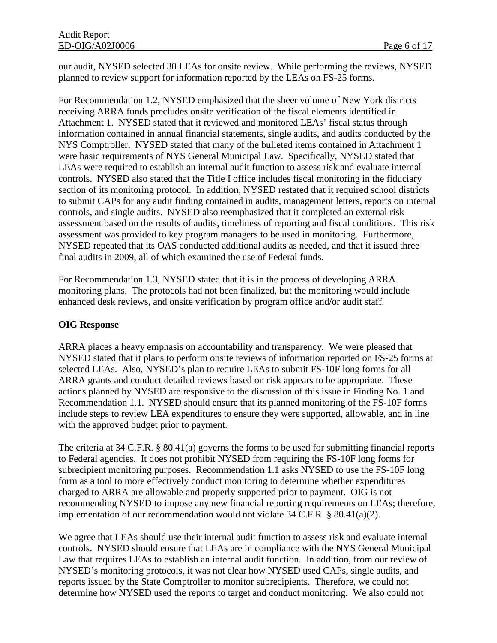our audit, NYSED selected 30 LEAs for onsite review. While performing the reviews, NYSED planned to review support for information reported by the LEAs on FS-25 forms.

For Recommendation 1.2, NYSED emphasized that the sheer volume of New York districts receiving ARRA funds precludes onsite verification of the fiscal elements identified in Attachment 1. NYSED stated that it reviewed and monitored LEAs' fiscal status through information contained in annual financial statements, single audits, and audits conducted by the NYS Comptroller. NYSED stated that many of the bulleted items contained in Attachment 1 were basic requirements of NYS General Municipal Law. Specifically, NYSED stated that LEAs were required to establish an internal audit function to assess risk and evaluate internal controls. NYSED also stated that the Title I office includes fiscal monitoring in the fiduciary section of its monitoring protocol. In addition, NYSED restated that it required school districts to submit CAPs for any audit finding contained in audits, management letters, reports on internal controls, and single audits. NYSED also reemphasized that it completed an external risk assessment based on the results of audits, timeliness of reporting and fiscal conditions. This risk assessment was provided to key program managers to be used in monitoring. Furthermore, NYSED repeated that its OAS conducted additional audits as needed, and that it issued three final audits in 2009, all of which examined the use of Federal funds.

For Recommendation 1.3, NYSED stated that it is in the process of developing ARRA monitoring plans. The protocols had not been finalized, but the monitoring would include enhanced desk reviews, and onsite verification by program office and/or audit staff.

## **OIG Response**

ARRA places a heavy emphasis on accountability and transparency. We were pleased that NYSED stated that it plans to perform onsite reviews of information reported on FS-25 forms at selected LEAs. Also, NYSED's plan to require LEAs to submit FS-10F long forms for all ARRA grants and conduct detailed reviews based on risk appears to be appropriate. These actions planned by NYSED are responsive to the discussion of this issue in Finding No. 1 and Recommendation 1.1. NYSED should ensure that its planned monitoring of the FS-10F forms include steps to review LEA expenditures to ensure they were supported, allowable, and in line with the approved budget prior to payment.

The criteria at 34 C.F.R. § 80.41(a) governs the forms to be used for submitting financial reports to Federal agencies. It does not prohibit NYSED from requiring the FS-10F long forms for subrecipient monitoring purposes. Recommendation 1.1 asks NYSED to use the FS-10F long form as a tool to more effectively conduct monitoring to determine whether expenditures charged to ARRA are allowable and properly supported prior to payment. OIG is not recommending NYSED to impose any new financial reporting requirements on LEAs; therefore, implementation of our recommendation would not violate 34 C.F.R. § 80.41(a)(2).

We agree that LEAs should use their internal audit function to assess risk and evaluate internal controls. NYSED should ensure that LEAs are in compliance with the NYS General Municipal Law that requires LEAs to establish an internal audit function. In addition, from our review of NYSED's monitoring protocols, it was not clear how NYSED used CAPs, single audits, and reports issued by the State Comptroller to monitor subrecipients. Therefore, we could not determine how NYSED used the reports to target and conduct monitoring. We also could not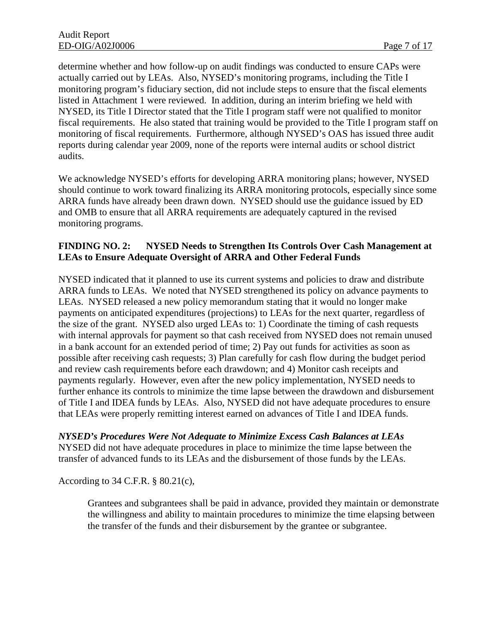determine whether and how follow-up on audit findings was conducted to ensure CAPs were actually carried out by LEAs. Also, NYSED's monitoring programs, including the Title I monitoring program's fiduciary section, did not include steps to ensure that the fiscal elements listed in Attachment 1 were reviewed. In addition, during an interim briefing we held with NYSED, its Title I Director stated that the Title I program staff were not qualified to monitor fiscal requirements. He also stated that training would be provided to the Title I program staff on monitoring of fiscal requirements. Furthermore, although NYSED's OAS has issued three audit reports during calendar year 2009, none of the reports were internal audits or school district audits.

We acknowledge NYSED's efforts for developing ARRA monitoring plans; however, NYSED should continue to work toward finalizing its ARRA monitoring protocols, especially since some ARRA funds have already been drawn down. NYSED should use the guidance issued by ED and OMB to ensure that all ARRA requirements are adequately captured in the revised monitoring programs.

## **FINDING NO. 2: NYSED Needs to Strengthen Its Controls Over Cash Management at LEAs to Ensure Adequate Oversight of ARRA and Other Federal Funds**

NYSED indicated that it planned to use its current systems and policies to draw and distribute ARRA funds to LEAs. We noted that NYSED strengthened its policy on advance payments to LEAs. NYSED released a new policy memorandum stating that it would no longer make payments on anticipated expenditures (projections) to LEAs for the next quarter, regardless of the size of the grant. NYSED also urged LEAs to: 1) Coordinate the timing of cash requests with internal approvals for payment so that cash received from NYSED does not remain unused in a bank account for an extended period of time; 2) Pay out funds for activities as soon as possible after receiving cash requests; 3) Plan carefully for cash flow during the budget period and review cash requirements before each drawdown; and 4) Monitor cash receipts and payments regularly. However, even after the new policy implementation, NYSED needs to further enhance its controls to minimize the time lapse between the drawdown and disbursement of Title I and IDEA funds by LEAs. Also, NYSED did not have adequate procedures to ensure that LEAs were properly remitting interest earned on advances of Title I and IDEA funds.

*NYSED's Procedures Were Not Adequate to Minimize Excess Cash Balances at LEAs* NYSED did not have adequate procedures in place to minimize the time lapse between the transfer of advanced funds to its LEAs and the disbursement of those funds by the LEAs.

According to 34 C.F.R. § 80.21(c),

Grantees and subgrantees shall be paid in advance, provided they maintain or demonstrate the willingness and ability to maintain procedures to minimize the time elapsing between the transfer of the funds and their disbursement by the grantee or subgrantee.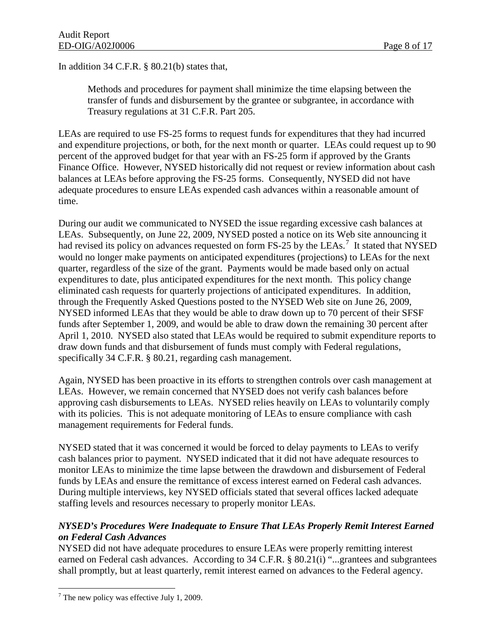In addition 34 C.F.R. § 80.21(b) states that,

Methods and procedures for payment shall minimize the time elapsing between the transfer of funds and disbursement by the grantee or subgrantee, in accordance with Treasury regulations at 31 C.F.R. Part 205.

LEAs are required to use FS-25 forms to request funds for expenditures that they had incurred and expenditure projections, or both, for the next month or quarter. LEAs could request up to 90 percent of the approved budget for that year with an FS-25 form if approved by the Grants Finance Office. However, NYSED historically did not request or review information about cash balances at LEAs before approving the FS-25 forms. Consequently, NYSED did not have adequate procedures to ensure LEAs expended cash advances within a reasonable amount of time.

During our audit we communicated to NYSED the issue regarding excessive cash balances at LEAs. Subsequently, on June 22, 2009, NYSED posted a notice on its Web site announcing it had revised its policy on advances requested on form FS-25 by the LEAs.<sup>[7](#page-10-0)</sup> It stated that NYSED would no longer make payments on anticipated expenditures (projections) to LEAs for the next quarter, regardless of the size of the grant. Payments would be made based only on actual expenditures to date, plus anticipated expenditures for the next month. This policy change eliminated cash requests for quarterly projections of anticipated expenditures. In addition, through the Frequently Asked Questions posted to the NYSED Web site on June 26, 2009, NYSED informed LEAs that they would be able to draw down up to 70 percent of their SFSF funds after September 1, 2009, and would be able to draw down the remaining 30 percent after April 1, 2010. NYSED also stated that LEAs would be required to submit expenditure reports to draw down funds and that disbursement of funds must comply with Federal regulations, specifically 34 C.F.R. § 80.21, regarding cash management.

Again, NYSED has been proactive in its efforts to strengthen controls over cash management at LEAs. However, we remain concerned that NYSED does not verify cash balances before approving cash disbursements to LEAs. NYSED relies heavily on LEAs to voluntarily comply with its policies. This is not adequate monitoring of LEAs to ensure compliance with cash management requirements for Federal funds.

NYSED stated that it was concerned it would be forced to delay payments to LEAs to verify cash balances prior to payment. NYSED indicated that it did not have adequate resources to monitor LEAs to minimize the time lapse between the drawdown and disbursement of Federal funds by LEAs and ensure the remittance of excess interest earned on Federal cash advances. During multiple interviews, key NYSED officials stated that several offices lacked adequate staffing levels and resources necessary to properly monitor LEAs.

## *NYSED's Procedures Were Inadequate to Ensure That LEAs Properly Remit Interest Earned on Federal Cash Advances*

NYSED did not have adequate procedures to ensure LEAs were properly remitting interest earned on Federal cash advances. According to 34 C.F.R. § 80.21(i) "...grantees and subgrantees shall promptly, but at least quarterly, remit interest earned on advances to the Federal agency.

<span id="page-10-0"></span> $\overline{a}$  $7$  The new policy was effective July 1, 2009.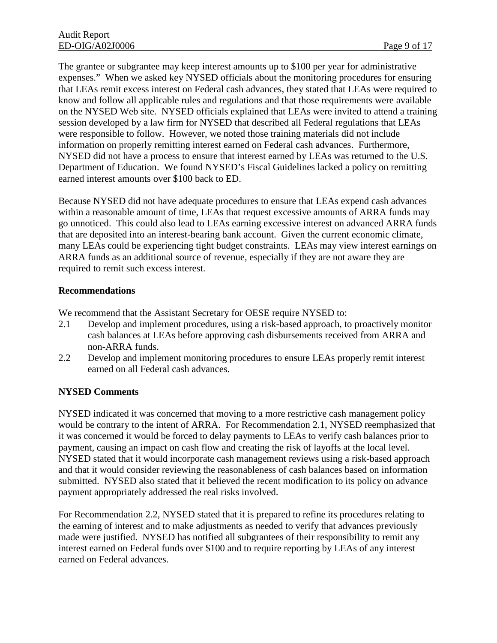The grantee or subgrantee may keep interest amounts up to \$100 per year for administrative expenses." When we asked key NYSED officials about the monitoring procedures for ensuring that LEAs remit excess interest on Federal cash advances, they stated that LEAs were required to know and follow all applicable rules and regulations and that those requirements were available on the NYSED Web site. NYSED officials explained that LEAs were invited to attend a training session developed by a law firm for NYSED that described all Federal regulations that LEAs were responsible to follow. However, we noted those training materials did not include information on properly remitting interest earned on Federal cash advances. Furthermore, NYSED did not have a process to ensure that interest earned by LEAs was returned to the U.S. Department of Education. We found NYSED's Fiscal Guidelines lacked a policy on remitting earned interest amounts over \$100 back to ED.

Because NYSED did not have adequate procedures to ensure that LEAs expend cash advances within a reasonable amount of time, LEAs that request excessive amounts of ARRA funds may go unnoticed. This could also lead to LEAs earning excessive interest on advanced ARRA funds that are deposited into an interest-bearing bank account. Given the current economic climate, many LEAs could be experiencing tight budget constraints. LEAs may view interest earnings on ARRA funds as an additional source of revenue, especially if they are not aware they are required to remit such excess interest.

#### **Recommendations**

We recommend that the Assistant Secretary for OESE require NYSED to:

- 2.1 Develop and implement procedures, using a risk-based approach, to proactively monitor cash balances at LEAs before approving cash disbursements received from ARRA and non-ARRA funds.
- 2.2 Develop and implement monitoring procedures to ensure LEAs properly remit interest earned on all Federal cash advances.

## **NYSED Comments**

NYSED indicated it was concerned that moving to a more restrictive cash management policy would be contrary to the intent of ARRA. For Recommendation 2.1, NYSED reemphasized that it was concerned it would be forced to delay payments to LEAs to verify cash balances prior to payment, causing an impact on cash flow and creating the risk of layoffs at the local level. NYSED stated that it would incorporate cash management reviews using a risk-based approach and that it would consider reviewing the reasonableness of cash balances based on information submitted. NYSED also stated that it believed the recent modification to its policy on advance payment appropriately addressed the real risks involved.

For Recommendation 2.2, NYSED stated that it is prepared to refine its procedures relating to the earning of interest and to make adjustments as needed to verify that advances previously made were justified. NYSED has notified all subgrantees of their responsibility to remit any interest earned on Federal funds over \$100 and to require reporting by LEAs of any interest earned on Federal advances.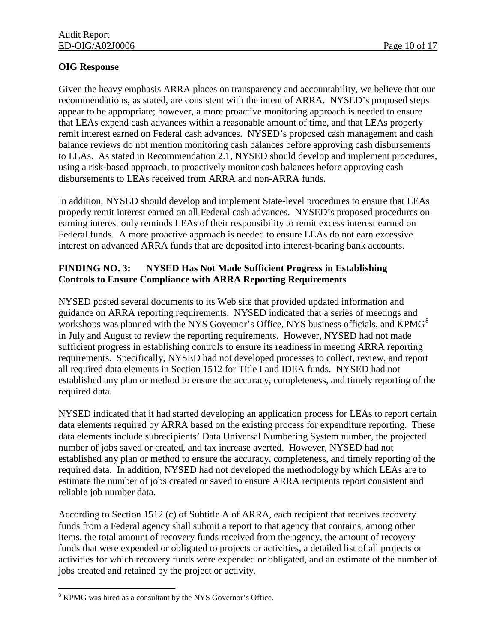## **OIG Response**

Given the heavy emphasis ARRA places on transparency and accountability, we believe that our recommendations, as stated, are consistent with the intent of ARRA. NYSED's proposed steps appear to be appropriate; however, a more proactive monitoring approach is needed to ensure that LEAs expend cash advances within a reasonable amount of time, and that LEAs properly remit interest earned on Federal cash advances. NYSED's proposed cash management and cash balance reviews do not mention monitoring cash balances before approving cash disbursements to LEAs. As stated in Recommendation 2.1, NYSED should develop and implement procedures, using a risk-based approach, to proactively monitor cash balances before approving cash disbursements to LEAs received from ARRA and non-ARRA funds.

In addition, NYSED should develop and implement State-level procedures to ensure that LEAs properly remit interest earned on all Federal cash advances. NYSED's proposed procedures on earning interest only reminds LEAs of their responsibility to remit excess interest earned on Federal funds. A more proactive approach is needed to ensure LEAs do not earn excessive interest on advanced ARRA funds that are deposited into interest-bearing bank accounts.

## **FINDING NO. 3: NYSED Has Not Made Sufficient Progress in Establishing Controls to Ensure Compliance with ARRA Reporting Requirements**

NYSED posted several documents to its Web site that provided updated information and guidance on ARRA reporting requirements. NYSED indicated that a series of meetings and workshops was planned with the NYS Governor's Office, NYS business officials, and KPMG<sup>[8](#page-12-0)</sup> in July and August to review the reporting requirements. However, NYSED had not made sufficient progress in establishing controls to ensure its readiness in meeting ARRA reporting requirements. Specifically, NYSED had not developed processes to collect, review, and report all required data elements in Section 1512 for Title I and IDEA funds. NYSED had not established any plan or method to ensure the accuracy, completeness, and timely reporting of the required data.

NYSED indicated that it had started developing an application process for LEAs to report certain data elements required by ARRA based on the existing process for expenditure reporting. These data elements include subrecipients' Data Universal Numbering System number, the projected number of jobs saved or created, and tax increase averted. However, NYSED had not established any plan or method to ensure the accuracy, completeness, and timely reporting of the required data. In addition, NYSED had not developed the methodology by which LEAs are to estimate the number of jobs created or saved to ensure ARRA recipients report consistent and reliable job number data.

According to Section 1512 (c) of Subtitle A of ARRA, each recipient that receives recovery funds from a Federal agency shall submit a report to that agency that contains, among other items, the total amount of recovery funds received from the agency, the amount of recovery funds that were expended or obligated to projects or activities, a detailed list of all projects or activities for which recovery funds were expended or obligated, and an estimate of the number of jobs created and retained by the project or activity.

<span id="page-12-0"></span> $\overline{a}$ <sup>8</sup> KPMG was hired as a consultant by the NYS Governor's Office.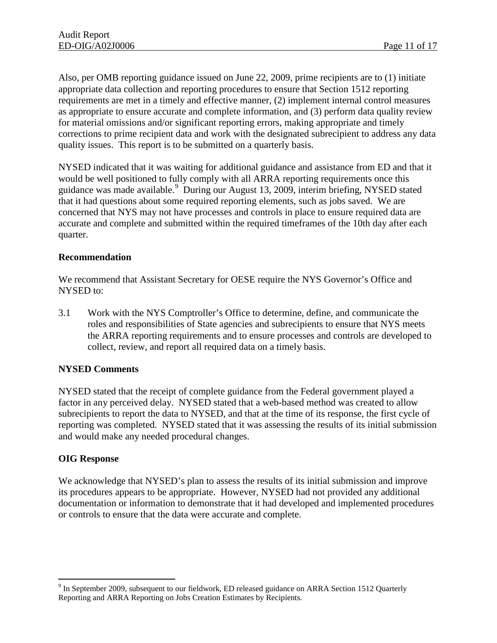Also, per OMB reporting guidance issued on June 22, 2009, prime recipients are to (1) initiate appropriate data collection and reporting procedures to ensure that Section 1512 reporting requirements are met in a timely and effective manner, (2) implement internal control measures as appropriate to ensure accurate and complete information, and (3) perform data quality review for material omissions and/or significant reporting errors, making appropriate and timely corrections to prime recipient data and work with the designated subrecipient to address any data quality issues. This report is to be submitted on a quarterly basis.

NYSED indicated that it was waiting for additional guidance and assistance from ED and that it would be well positioned to fully comply with all ARRA reporting requirements once this guidance was made available.<sup>[9](#page-13-0)</sup> During our August 13, 2009, interim briefing, NYSED stated that it had questions about some required reporting elements, such as jobs saved. We are concerned that NYS may not have processes and controls in place to ensure required data are accurate and complete and submitted within the required timeframes of the 10th day after each quarter.

#### **Recommendation**

We recommend that Assistant Secretary for OESE require the NYS Governor's Office and NYSED to:

3.1 Work with the NYS Comptroller's Office to determine, define, and communicate the roles and responsibilities of State agencies and subrecipients to ensure that NYS meets the ARRA reporting requirements and to ensure processes and controls are developed to collect, review, and report all required data on a timely basis.

## **NYSED Comments**

NYSED stated that the receipt of complete guidance from the Federal government played a factor in any perceived delay. NYSED stated that a web-based method was created to allow subrecipients to report the data to NYSED, and that at the time of its response, the first cycle of reporting was completed. NYSED stated that it was assessing the results of its initial submission and would make any needed procedural changes.

#### **OIG Response**

 $\overline{a}$ 

We acknowledge that NYSED's plan to assess the results of its initial submission and improve its procedures appears to be appropriate. However, NYSED had not provided any additional documentation or information to demonstrate that it had developed and implemented procedures or controls to ensure that the data were accurate and complete.

<span id="page-13-0"></span> $9$  In September 2009, subsequent to our fieldwork, ED released guidance on ARRA Section 1512 Quarterly Reporting and ARRA Reporting on Jobs Creation Estimates by Recipients.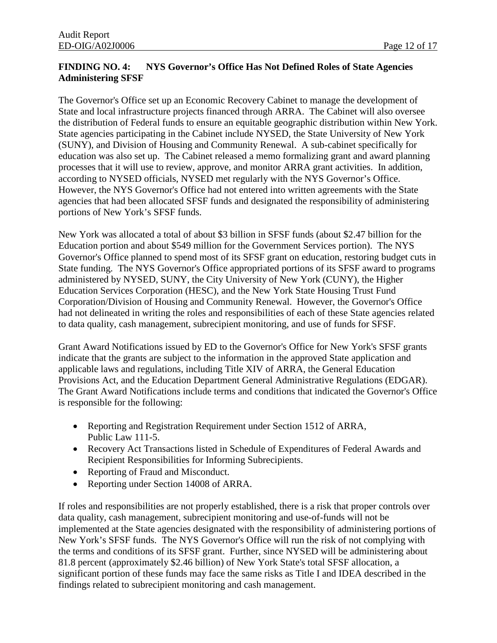## **FINDING NO. 4: NYS Governor's Office Has Not Defined Roles of State Agencies Administering SFSF**

The Governor's Office set up an Economic Recovery Cabinet to manage the development of State and local infrastructure projects financed through ARRA. The Cabinet will also oversee the distribution of Federal funds to ensure an equitable geographic distribution within New York. State agencies participating in the Cabinet include NYSED, the State University of New York (SUNY), and Division of Housing and Community Renewal. A sub-cabinet specifically for education was also set up. The Cabinet released a memo formalizing grant and award planning processes that it will use to review, approve, and monitor ARRA grant activities. In addition, according to NYSED officials, NYSED met regularly with the NYS Governor's Office. However, the NYS Governor's Office had not entered into written agreements with the State agencies that had been allocated SFSF funds and designated the responsibility of administering portions of New York's SFSF funds.

New York was allocated a total of about \$3 billion in SFSF funds (about \$2.47 billion for the Education portion and about \$549 million for the Government Services portion). The NYS Governor's Office planned to spend most of its SFSF grant on education, restoring budget cuts in State funding. The NYS Governor's Office appropriated portions of its SFSF award to programs administered by NYSED, SUNY, the City University of New York (CUNY), the Higher Education Services Corporation (HESC), and the New York State Housing Trust Fund Corporation/Division of Housing and Community Renewal. However, the Governor's Office had not delineated in writing the roles and responsibilities of each of these State agencies related to data quality, cash management, subrecipient monitoring, and use of funds for SFSF.

Grant Award Notifications issued by ED to the Governor's Office for New York's SFSF grants indicate that the grants are subject to the information in the approved State application and applicable laws and regulations, including Title XIV of ARRA, the General Education Provisions Act, and the Education Department General Administrative Regulations (EDGAR). The Grant Award Notifications include terms and conditions that indicated the Governor's Office is responsible for the following:

- Reporting and Registration Requirement under Section 1512 of ARRA, Public Law 111-5.
- Recovery Act Transactions listed in Schedule of Expenditures of Federal Awards and Recipient Responsibilities for Informing Subrecipients.
- Reporting of Fraud and Misconduct.
- Reporting under Section 14008 of ARRA.

If roles and responsibilities are not properly established, there is a risk that proper controls over data quality, cash management, subrecipient monitoring and use-of-funds will not be implemented at the State agencies designated with the responsibility of administering portions of New York's SFSF funds. The NYS Governor's Office will run the risk of not complying with the terms and conditions of its SFSF grant. Further, since NYSED will be administering about 81.8 percent (approximately \$2.46 billion) of New York State's total SFSF allocation, a significant portion of these funds may face the same risks as Title I and IDEA described in the findings related to subrecipient monitoring and cash management.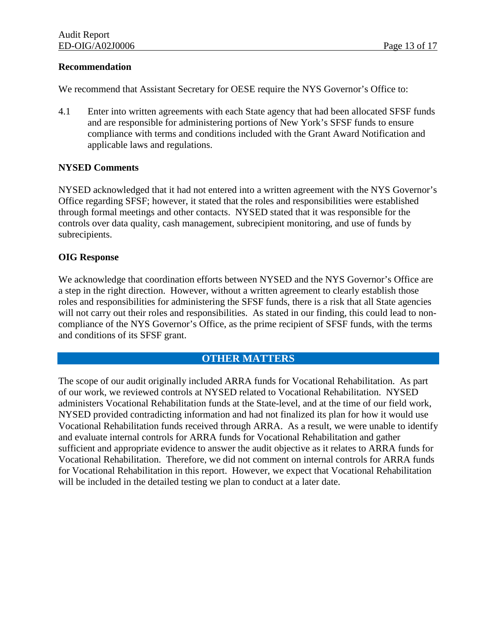#### **Recommendation**

We recommend that Assistant Secretary for OESE require the NYS Governor's Office to:

4.1 Enter into written agreements with each State agency that had been allocated SFSF funds and are responsible for administering portions of New York's SFSF funds to ensure compliance with terms and conditions included with the Grant Award Notification and applicable laws and regulations.

### **NYSED Comments**

NYSED acknowledged that it had not entered into a written agreement with the NYS Governor's Office regarding SFSF; however, it stated that the roles and responsibilities were established through formal meetings and other contacts. NYSED stated that it was responsible for the controls over data quality, cash management, subrecipient monitoring, and use of funds by subrecipients.

### **OIG Response**

We acknowledge that coordination efforts between NYSED and the NYS Governor's Office are a step in the right direction. However, without a written agreement to clearly establish those roles and responsibilities for administering the SFSF funds, there is a risk that all State agencies will not carry out their roles and responsibilities. As stated in our finding, this could lead to noncompliance of the NYS Governor's Office, as the prime recipient of SFSF funds, with the terms and conditions of its SFSF grant.

## **OTHER MATTERS**

The scope of our audit originally included ARRA funds for Vocational Rehabilitation. As part of our work, we reviewed controls at NYSED related to Vocational Rehabilitation. NYSED administers Vocational Rehabilitation funds at the State-level, and at the time of our field work, NYSED provided contradicting information and had not finalized its plan for how it would use Vocational Rehabilitation funds received through ARRA. As a result, we were unable to identify and evaluate internal controls for ARRA funds for Vocational Rehabilitation and gather sufficient and appropriate evidence to answer the audit objective as it relates to ARRA funds for Vocational Rehabilitation. Therefore, we did not comment on internal controls for ARRA funds for Vocational Rehabilitation in this report. However, we expect that Vocational Rehabilitation will be included in the detailed testing we plan to conduct at a later date.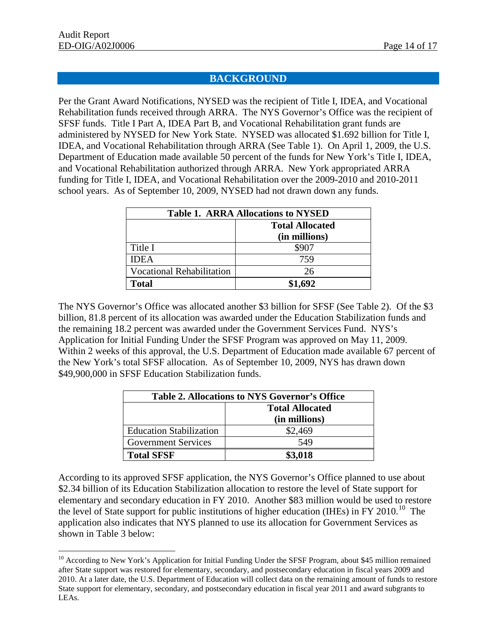$\overline{a}$ 

## **BACKGROUND**

Per the Grant Award Notifications, NYSED was the recipient of Title I, IDEA, and Vocational Rehabilitation funds received through ARRA. The NYS Governor's Office was the recipient of SFSF funds. Title I Part A, IDEA Part B, and Vocational Rehabilitation grant funds are administered by NYSED for New York State. NYSED was allocated \$1.692 billion for Title I, IDEA, and Vocational Rehabilitation through ARRA (See Table 1). On April 1, 2009, the U.S. Department of Education made available 50 percent of the funds for New York's Title I, IDEA, and Vocational Rehabilitation authorized through ARRA. New York appropriated ARRA funding for Title I, IDEA, and Vocational Rehabilitation over the 2009-2010 and 2010-2011 school years. As of September 10, 2009, NYSED had not drawn down any funds.

| <b>Table 1. ARRA Allocations to NYSED</b> |                                         |  |
|-------------------------------------------|-----------------------------------------|--|
|                                           | <b>Total Allocated</b><br>(in millions) |  |
| Title I                                   | \$907                                   |  |
| <b>IDEA</b>                               | 759                                     |  |
| <b>Vocational Rehabilitation</b>          | 26                                      |  |
| Total                                     | \$1,692                                 |  |

The NYS Governor's Office was allocated another \$3 billion for SFSF (See Table 2). Of the \$3 billion, 81.8 percent of its allocation was awarded under the Education Stabilization funds and the remaining 18.2 percent was awarded under the Government Services Fund. NYS's Application for Initial Funding Under the SFSF Program was approved on May 11, 2009. Within 2 weeks of this approval, the U.S. Department of Education made available 67 percent of the New York's total SFSF allocation. As of September 10, 2009, NYS has drawn down \$49,900,000 in SFSF Education Stabilization funds.

| <b>Table 2. Allocations to NYS Governor's Office</b> |                        |  |  |
|------------------------------------------------------|------------------------|--|--|
|                                                      | <b>Total Allocated</b> |  |  |
|                                                      | (in millions)          |  |  |
| <b>Education Stabilization</b>                       | \$2,469                |  |  |
| <b>Government Services</b>                           | 549                    |  |  |
| <b>Total SFSF</b>                                    | \$3,018                |  |  |

According to its approved SFSF application, the NYS Governor's Office planned to use about \$2.34 billion of its Education Stabilization allocation to restore the level of State support for elementary and secondary education in FY 2010. Another \$83 million would be used to restore the level of State support for public institutions of higher education (IHEs) in FY 20[10](#page-16-0).<sup>10</sup> The application also indicates that NYS planned to use its allocation for Government Services as shown in Table 3 below:

<span id="page-16-0"></span><sup>&</sup>lt;sup>10</sup> According to New York's Application for Initial Funding Under the SFSF Program, about \$45 million remained after State support was restored for elementary, secondary, and postsecondary education in fiscal years 2009 and 2010. At a later date, the U.S. Department of Education will collect data on the remaining amount of funds to restore State support for elementary, secondary, and postsecondary education in fiscal year 2011 and award subgrants to LEAs.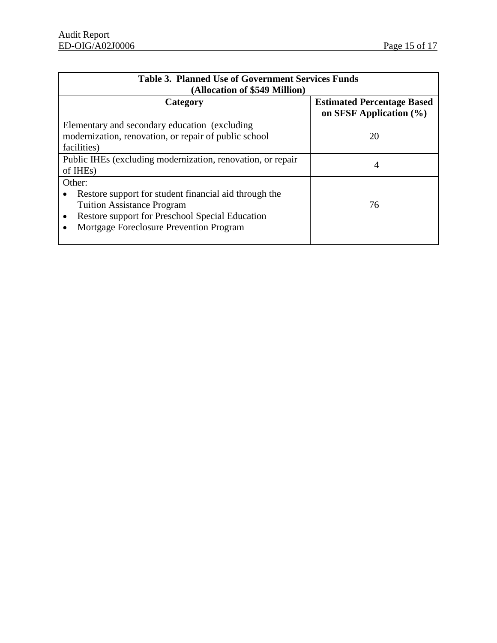| <b>Table 3. Planned Use of Government Services Funds</b><br>(Allocation of \$549 Million)                                                                                                          |                                                                  |  |  |
|----------------------------------------------------------------------------------------------------------------------------------------------------------------------------------------------------|------------------------------------------------------------------|--|--|
| Category                                                                                                                                                                                           | <b>Estimated Percentage Based</b><br>on SFSF Application $(\% )$ |  |  |
| Elementary and secondary education (excluding)<br>modernization, renovation, or repair of public school<br>facilities)                                                                             | 20                                                               |  |  |
| Public IHEs (excluding modernization, renovation, or repair<br>of IHE <sub>s</sub> )                                                                                                               | 4                                                                |  |  |
| Other:<br>Restore support for student financial aid through the<br><b>Tuition Assistance Program</b><br>Restore support for Preschool Special Education<br>Mortgage Foreclosure Prevention Program | 76                                                               |  |  |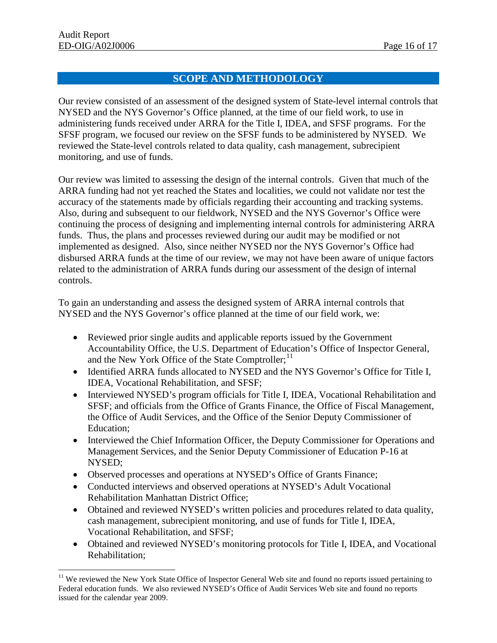$\overline{a}$ 

## **SCOPE AND METHODOLOGY**

Our review consisted of an assessment of the designed system of State-level internal controls that NYSED and the NYS Governor's Office planned, at the time of our field work, to use in administering funds received under ARRA for the Title I, IDEA, and SFSF programs. For the SFSF program, we focused our review on the SFSF funds to be administered by NYSED. We reviewed the State-level controls related to data quality, cash management, subrecipient monitoring, and use of funds.

Our review was limited to assessing the design of the internal controls. Given that much of the ARRA funding had not yet reached the States and localities, we could not validate nor test the accuracy of the statements made by officials regarding their accounting and tracking systems. Also, during and subsequent to our fieldwork, NYSED and the NYS Governor's Office were continuing the process of designing and implementing internal controls for administering ARRA funds. Thus, the plans and processes reviewed during our audit may be modified or not implemented as designed. Also, since neither NYSED nor the NYS Governor's Office had disbursed ARRA funds at the time of our review, we may not have been aware of unique factors related to the administration of ARRA funds during our assessment of the design of internal controls.

To gain an understanding and assess the designed system of ARRA internal controls that NYSED and the NYS Governor's office planned at the time of our field work, we:

- Reviewed prior single audits and applicable reports issued by the Government Accountability Office, the U.S. Department of Education's Office of Inspector General, and the New York Office of the State Comptroller;<sup>[11](#page-18-0)</sup>
- Identified ARRA funds allocated to NYSED and the NYS Governor's Office for Title I, IDEA, Vocational Rehabilitation, and SFSF;
- Interviewed NYSED's program officials for Title I, IDEA, Vocational Rehabilitation and SFSF; and officials from the Office of Grants Finance, the Office of Fiscal Management, the Office of Audit Services, and the Office of the Senior Deputy Commissioner of Education;
- Interviewed the Chief Information Officer, the Deputy Commissioner for Operations and Management Services, and the Senior Deputy Commissioner of Education P-16 at NYSED;
- Observed processes and operations at NYSED's Office of Grants Finance;
- Conducted interviews and observed operations at NYSED's Adult Vocational Rehabilitation Manhattan District Office;
- Obtained and reviewed NYSED's written policies and procedures related to data quality, cash management, subrecipient monitoring, and use of funds for Title I, IDEA, Vocational Rehabilitation, and SFSF;
- Obtained and reviewed NYSED's monitoring protocols for Title I, IDEA, and Vocational Rehabilitation;

<span id="page-18-0"></span><sup>&</sup>lt;sup>11</sup> We reviewed the New York State Office of Inspector General Web site and found no reports issued pertaining to Federal education funds. We also reviewed NYSED's Office of Audit Services Web site and found no reports issued for the calendar year 2009.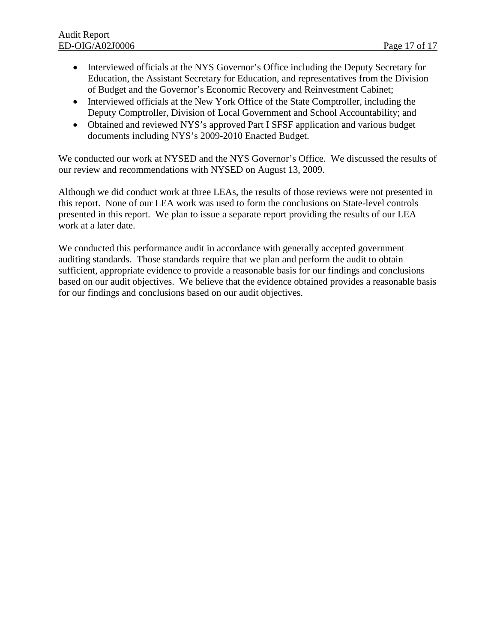- Interviewed officials at the NYS Governor's Office including the Deputy Secretary for Education, the Assistant Secretary for Education, and representatives from the Division of Budget and the Governor's Economic Recovery and Reinvestment Cabinet;
- Interviewed officials at the New York Office of the State Comptroller, including the Deputy Comptroller, Division of Local Government and School Accountability; and
- Obtained and reviewed NYS's approved Part I SFSF application and various budget documents including NYS's 2009-2010 Enacted Budget.

We conducted our work at NYSED and the NYS Governor's Office. We discussed the results of our review and recommendations with NYSED on August 13, 2009.

Although we did conduct work at three LEAs, the results of those reviews were not presented in this report. None of our LEA work was used to form the conclusions on State-level controls presented in this report. We plan to issue a separate report providing the results of our LEA work at a later date.

We conducted this performance audit in accordance with generally accepted government auditing standards. Those standards require that we plan and perform the audit to obtain sufficient, appropriate evidence to provide a reasonable basis for our findings and conclusions based on our audit objectives. We believe that the evidence obtained provides a reasonable basis for our findings and conclusions based on our audit objectives.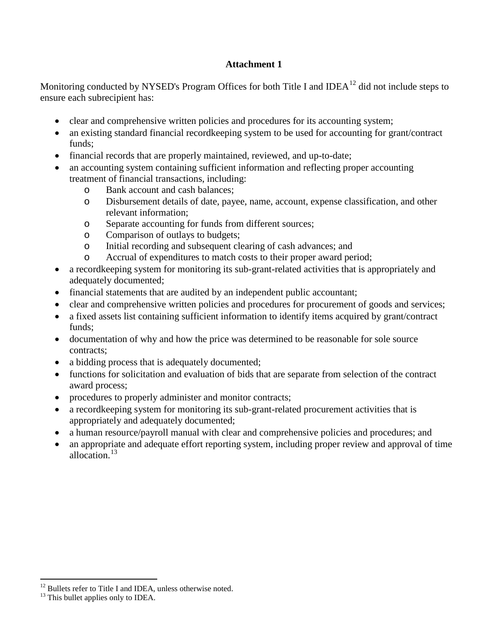## **Attachment 1**

Monitoring conducted by NYSED's Program Offices for both Title I and IDEA<sup>12</sup> did not include steps to ensure each subrecipient has:

- clear and comprehensive written policies and procedures for its accounting system;
- an existing standard financial record keeping system to be used for accounting for grant/contract funds;
- financial records that are properly maintained, reviewed, and up-to-date;
- an accounting system containing sufficient information and reflecting proper accounting treatment of financial transactions, including:
	- o Bank account and cash balances;
	- o Disbursement details of date, payee, name, account, expense classification, and other relevant information;
	- o Separate accounting for funds from different sources;
	- o Comparison of outlays to budgets;
	- o Initial recording and subsequent clearing of cash advances; and
	- o Accrual of expenditures to match costs to their proper award period;
- a record keeping system for monitoring its sub-grant-related activities that is appropriately and adequately documented;
- financial statements that are audited by an independent public accountant;
- clear and comprehensive written policies and procedures for procurement of goods and services;
- a fixed assets list containing sufficient information to identify items acquired by grant/contract funds;
- documentation of why and how the price was determined to be reasonable for sole source contracts;
- a bidding process that is adequately documented;
- functions for solicitation and evaluation of bids that are separate from selection of the contract award process;
- procedures to properly administer and monitor contracts;
- a recordkeeping system for monitoring its sub-grant-related procurement activities that is appropriately and adequately documented;
- a human resource/payroll manual with clear and comprehensive policies and procedures; and
- an appropriate and adequate effort reporting system, including proper review and approval of time allocation.<sup>[13](#page-20-1)</sup>

 $\overline{a}$ 

<span id="page-20-0"></span><sup>&</sup>lt;sup>12</sup> Bullets refer to Title I and IDEA, unless otherwise noted.  $13$  This bullet applies only to IDEA.

<span id="page-20-1"></span>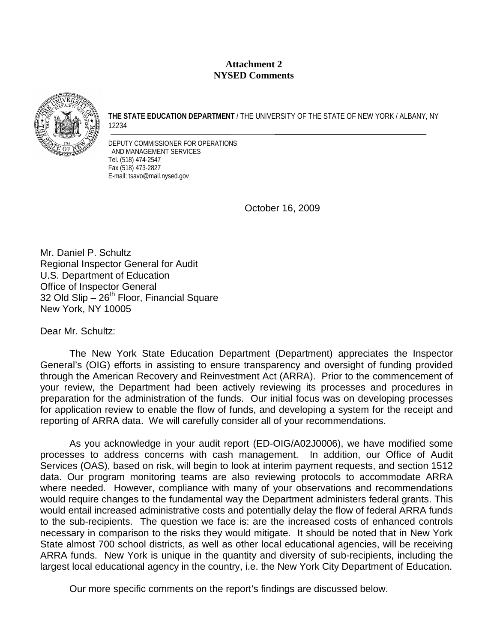### **Attachment 2 NYSED Comments**



**THE STATE EDUCATION DEPARTMENT** / THE UNIVERSITY OF THE STATE OF NEW YORK / ALBANY, NY 12234

DEPUTY COMMISSIONER FOR OPERATIONS AND MANAGEMENT SERVICES Tel. (518) 474-2547 Fax (518) 473-2827 E-mail: tsavo@mail.nysed.gov

October 16, 2009

Mr. Daniel P. Schultz Regional Inspector General for Audit U.S. Department of Education Office of Inspector General 32 Old Slip  $-26<sup>th</sup>$  Floor, Financial Square New York, NY 10005

Dear Mr. Schultz:

The New York State Education Department (Department) appreciates the Inspector General's (OIG) efforts in assisting to ensure transparency and oversight of funding provided through the American Recovery and Reinvestment Act (ARRA). Prior to the commencement of your review, the Department had been actively reviewing its processes and procedures in preparation for the administration of the funds. Our initial focus was on developing processes for application review to enable the flow of funds, and developing a system for the receipt and reporting of ARRA data. We will carefully consider all of your recommendations.

As you acknowledge in your audit report (ED-OIG/A02J0006), we have modified some processes to address concerns with cash management. In addition, our Office of Audit Services (OAS), based on risk, will begin to look at interim payment requests, and section 1512 data. Our program monitoring teams are also reviewing protocols to accommodate ARRA where needed. However, compliance with many of your observations and recommendations would require changes to the fundamental way the Department administers federal grants. This would entail increased administrative costs and potentially delay the flow of federal ARRA funds to the sub-recipients. The question we face is: are the increased costs of enhanced controls necessary in comparison to the risks they would mitigate. It should be noted that in New York State almost 700 school districts, as well as other local educational agencies, will be receiving ARRA funds. New York is unique in the quantity and diversity of sub-recipients, including the largest local educational agency in the country, i.e. the New York City Department of Education.

Our more specific comments on the report's findings are discussed below.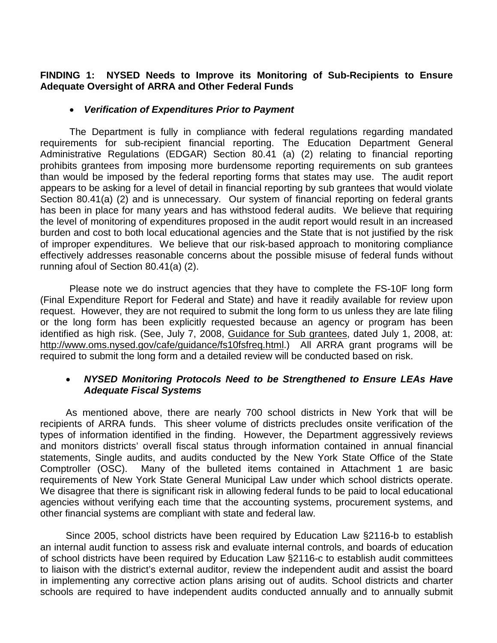## **FINDING 1: NYSED Needs to Improve its Monitoring of Sub-Recipients to Ensure Adequate Oversight of ARRA and Other Federal Funds**

## • *Verification of Expenditures Prior to Payment*

The Department is fully in compliance with federal regulations regarding mandated requirements for sub-recipient financial reporting. The Education Department General Administrative Regulations (EDGAR) Section 80.41 (a) (2) relating to financial reporting prohibits grantees from imposing more burdensome reporting requirements on sub grantees than would be imposed by the federal reporting forms that states may use. The audit report appears to be asking for a level of detail in financial reporting by sub grantees that would violate Section 80.41(a) (2) and is unnecessary. Our system of financial reporting on federal grants has been in place for many years and has withstood federal audits. We believe that requiring the level of monitoring of expenditures proposed in the audit report would result in an increased burden and cost to both local educational agencies and the State that is not justified by the risk of improper expenditures. We believe that our risk-based approach to monitoring compliance effectively addresses reasonable concerns about the possible misuse of federal funds without running afoul of Section 80.41(a) (2).

Please note we do instruct agencies that they have to complete the FS-10F long form (Final Expenditure Report for Federal and State) and have it readily available for review upon request. However, they are not required to submit the long form to us unless they are late filing or the long form has been explicitly requested because an agency or program has been identified as high risk. (See, July 7, 2008, Guidance for Sub grantees, dated July 1, 2008, at: http://www.oms.nysed.gov/cafe/guidance/fs10fsfreq.html.) All ARRA grant programs will be required to submit the long form and a detailed review will be conducted based on risk.

## • *NYSED Monitoring Protocols Need to be Strengthened to Ensure LEAs Have Adequate Fiscal Systems*

As mentioned above, there are nearly 700 school districts in New York that will be recipients of ARRA funds. This sheer volume of districts precludes onsite verification of the types of information identified in the finding. However, the Department aggressively reviews and monitors districts' overall fiscal status through information contained in annual financial statements, Single audits, and audits conducted by the New York State Office of the State Comptroller (OSC). Many of the bulleted items contained in Attachment 1 are basic requirements of New York State General Municipal Law under which school districts operate. We disagree that there is significant risk in allowing federal funds to be paid to local educational agencies without verifying each time that the accounting systems, procurement systems, and other financial systems are compliant with state and federal law.

Since 2005, school districts have been required by Education Law §2116-b to establish an internal audit function to assess risk and evaluate internal controls, and boards of education of school districts have been required by Education Law §2116-c to establish audit committees to liaison with the district's external auditor, review the independent audit and assist the board in implementing any corrective action plans arising out of audits. School districts and charter schools are required to have independent audits conducted annually and to annually submit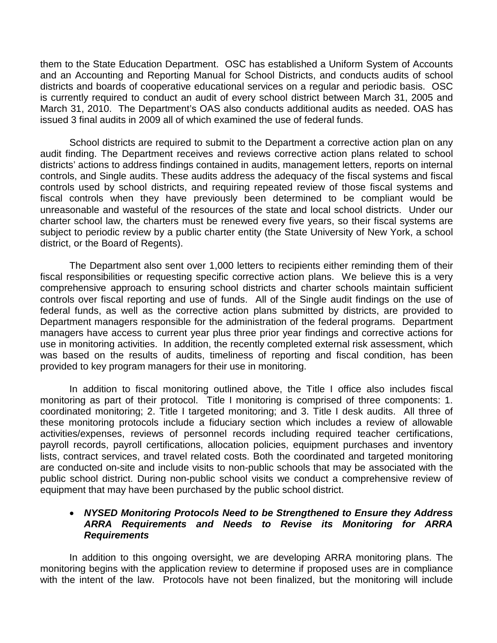them to the State Education Department. OSC has established a Uniform System of Accounts and an Accounting and Reporting Manual for School Districts, and conducts audits of school districts and boards of cooperative educational services on a regular and periodic basis. OSC is currently required to conduct an audit of every school district between March 31, 2005 and March 31, 2010. The Department's OAS also conducts additional audits as needed. OAS has issued 3 final audits in 2009 all of which examined the use of federal funds.

 School districts are required to submit to the Department a corrective action plan on any audit finding. The Department receives and reviews corrective action plans related to school districts' actions to address findings contained in audits, management letters, reports on internal controls, and Single audits. These audits address the adequacy of the fiscal systems and fiscal controls used by school districts, and requiring repeated review of those fiscal systems and fiscal controls when they have previously been determined to be compliant would be unreasonable and wasteful of the resources of the state and local school districts. Under our charter school law, the charters must be renewed every five years, so their fiscal systems are subject to periodic review by a public charter entity (the State University of New York, a school district, or the Board of Regents).

The Department also sent over 1,000 letters to recipients either reminding them of their fiscal responsibilities or requesting specific corrective action plans. We believe this is a very comprehensive approach to ensuring school districts and charter schools maintain sufficient controls over fiscal reporting and use of funds. All of the Single audit findings on the use of federal funds, as well as the corrective action plans submitted by districts, are provided to Department managers responsible for the administration of the federal programs. Department managers have access to current year plus three prior year findings and corrective actions for use in monitoring activities. In addition, the recently completed external risk assessment, which was based on the results of audits, timeliness of reporting and fiscal condition, has been provided to key program managers for their use in monitoring.

In addition to fiscal monitoring outlined above, the Title I office also includes fiscal monitoring as part of their protocol. Title I monitoring is comprised of three components: 1. coordinated monitoring; 2. Title I targeted monitoring; and 3. Title I desk audits. All three of these monitoring protocols include a fiduciary section which includes a review of allowable activities/expenses, reviews of personnel records including required teacher certifications, payroll records, payroll certifications, allocation policies, equipment purchases and inventory lists, contract services, and travel related costs. Both the coordinated and targeted monitoring are conducted on-site and include visits to non-public schools that may be associated with the public school district. During non-public school visits we conduct a comprehensive review of equipment that may have been purchased by the public school district.

## • *NYSED Monitoring Protocols Need to be Strengthened to Ensure they Address ARRA Requirements and Needs to Revise its Monitoring for ARRA Requirements*

In addition to this ongoing oversight, we are developing ARRA monitoring plans. The monitoring begins with the application review to determine if proposed uses are in compliance with the intent of the law. Protocols have not been finalized, but the monitoring will include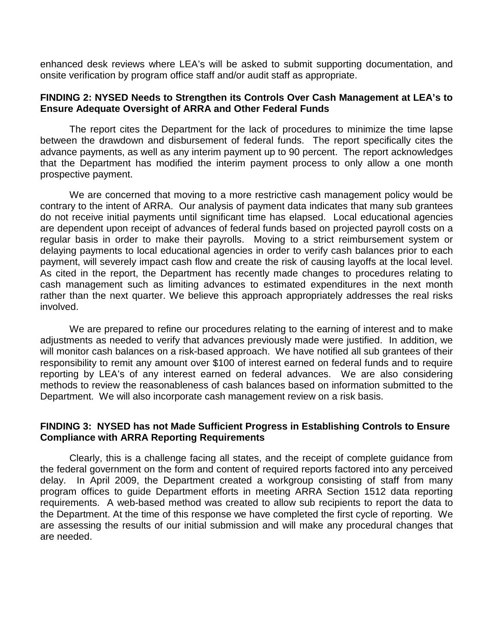enhanced desk reviews where LEA's will be asked to submit supporting documentation, and onsite verification by program office staff and/or audit staff as appropriate.

#### **FINDING 2: NYSED Needs to Strengthen its Controls Over Cash Management at LEA's to Ensure Adequate Oversight of ARRA and Other Federal Funds**

The report cites the Department for the lack of procedures to minimize the time lapse between the drawdown and disbursement of federal funds. The report specifically cites the advance payments, as well as any interim payment up to 90 percent. The report acknowledges that the Department has modified the interim payment process to only allow a one month prospective payment.

We are concerned that moving to a more restrictive cash management policy would be contrary to the intent of ARRA. Our analysis of payment data indicates that many sub grantees do not receive initial payments until significant time has elapsed. Local educational agencies are dependent upon receipt of advances of federal funds based on projected payroll costs on a regular basis in order to make their payrolls. Moving to a strict reimbursement system or delaying payments to local educational agencies in order to verify cash balances prior to each payment, will severely impact cash flow and create the risk of causing layoffs at the local level. As cited in the report, the Department has recently made changes to procedures relating to cash management such as limiting advances to estimated expenditures in the next month rather than the next quarter. We believe this approach appropriately addresses the real risks involved.

We are prepared to refine our procedures relating to the earning of interest and to make adjustments as needed to verify that advances previously made were justified. In addition, we will monitor cash balances on a risk-based approach. We have notified all sub grantees of their responsibility to remit any amount over \$100 of interest earned on federal funds and to require reporting by LEA's of any interest earned on federal advances. We are also considering methods to review the reasonableness of cash balances based on information submitted to the Department. We will also incorporate cash management review on a risk basis.

## **FINDING 3: NYSED has not Made Sufficient Progress in Establishing Controls to Ensure Compliance with ARRA Reporting Requirements**

Clearly, this is a challenge facing all states, and the receipt of complete guidance from the federal government on the form and content of required reports factored into any perceived delay. In April 2009, the Department created a workgroup consisting of staff from many program offices to guide Department efforts in meeting ARRA Section 1512 data reporting requirements. A web-based method was created to allow sub recipients to report the data to the Department. At the time of this response we have completed the first cycle of reporting. We are assessing the results of our initial submission and will make any procedural changes that are needed.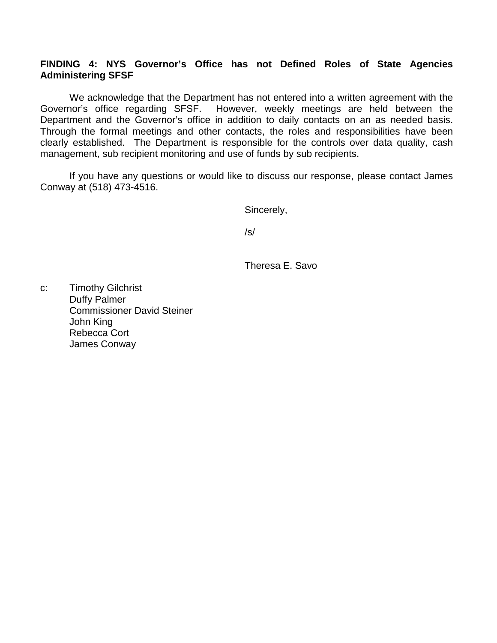## **FINDING 4: NYS Governor's Office has not Defined Roles of State Agencies Administering SFSF**

We acknowledge that the Department has not entered into a written agreement with the Governor's office regarding SFSF. However, weekly meetings are held between the Department and the Governor's office in addition to daily contacts on an as needed basis. Through the formal meetings and other contacts, the roles and responsibilities have been clearly established. The Department is responsible for the controls over data quality, cash management, sub recipient monitoring and use of funds by sub recipients.

If you have any questions or would like to discuss our response, please contact James Conway at (518) 473-4516.

Sincerely,

/s/

Theresa E. Savo

c: Timothy Gilchrist Duffy Palmer Commissioner David Steiner John King Rebecca Cort James Conway